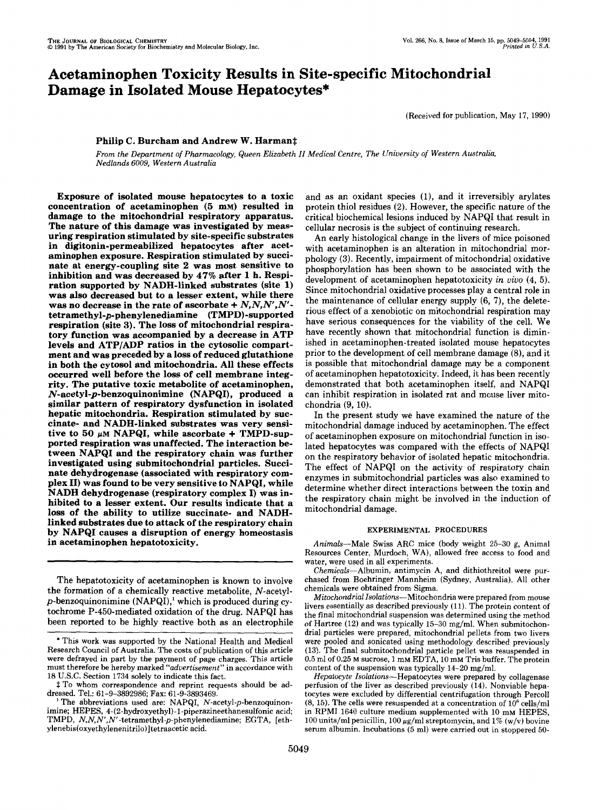# Acetaminophen Toxicity Results in Site-specific Mitochondrial Damage in Isolated Mouse Hepatocytes\*

(Received for publication, May **17, 1990)** 

# **Philip C. Burcham and Andrew W. Harmant**

From the Department *of* Pharmacology, Queen Elizabeth *II* Medical Centre, The University *of* Western Australia, Nedlands 6009, Western Australia

Exposure of isolated mouse hepatocytes to a toxic concentration of acetaminophen *(5* mM) resulted in damage to the mitochondrial respiratory apparatus. The nature of this damage was investigated by measuring respiration stimulated by site-specific substrates in digitonin-permeabilized hepatocytes after acetaminophen exposure. Respiration stimulated by succinate at energy-coupling site **2** was most sensitive to inhibition and was decreased by **47%** after **1** h. Respiration supported by NADH-linked substrates (site **1) was** also decreased but to a lesser extent, while there was no decrease in the rate of ascorbate + *N,N,N',N'*  **tetramethyl-p-phenylenediamine** (TMPD)-supported respiration (site **3).** The **loss** of mitochondrial respiratory function was accompanied by a decrease in ATP levels and ATP/ADP ratios in the cytosolic compartment and was preceded by a loss of reduced glutathione in both the cytosol and mitochondria. All these effects occurred well before the loss **of** cell membrane integrity. The putative toxic metabolite of acetaminophen, **N-acetyl-p-benzoquinonimine** (NAPQI), produced a similar pattern of respiratory dysfunction in isolated hepatic mitochondria. Respiration stimulated by succinate- and NADH-linked substrates was very sensitive to 50  $\mu$ M NAPQI, while ascorbate + TMPD-supported respiration was unaffected. The interaction between NAPQI and the respiratory chain was further investigated using submitochondrial particles. Succinate dehydrogenase (associated with respiratory complex **11)** was found to be very sensitive to NAPQI, while NADH dehydrogenase (respiratory complex **I)** was inhibited to a lesser extent. Our results indicate that a loss of the ability to utilize succinate- and NADHlinked substrates due to attack of the respiratory chain by NAPQI causes a disruption of energy homeostasis in acetaminophen hepatotoxicity.

The hepatotoxicity of acetaminophen is known to involve the formation of a chemically reactive metabolite, N-acetyl $p$ -benzoquinonimine (NAPQI),<sup>1</sup> which is produced during cytochrome P-450-mediated oxidation of the drug. NAPQI has been reported to be highly reactive both as an electrophile and as an oxidant species **(I),** and it irreversibly arylates protein thiol residues **(2).** However, the specific nature of the critical biochemical lesions induced by NAPQI that result in cellular necrosis is the subject of continuing research.

An early histological change in the livers of mice poisoned with acetaminophen is an alteration in mitochondrial morphology **(3).** Recently, impairment of mitochondrial oxidative phosphorylation has been shown to be associated with the development of acetaminophen hepatotoxicity *in vivo* (4, 5). Since mitochondrial oxidative processes play a central role in the maintenance of cellular energy supply (6, **7),** the deleterious effect of a xenobiotic on mitochondrial respiration may have serious consequences for the viability of the cell. We have recently shown that mitochondrial function is diminished in acetaminophen-treated isolated mouse hepatocytes prior to the development of cell membrane damage (8), and it is possible that mitochondrial damage may be a component of acetaminophen hepatotoxicity. Indeed, it has been recently demonstrated that both acetaminophen itself, and NAPQI can inhibit respiration in isolated rat and mouse liver mitochondria (9, 10).

In the present study we have examined the nature of the mitochondrial damage induced by acetaminophen. The effect of acetaminophen exposure on mitochondrial function in isolated hepatocytes was compared with the effects of NAPQI on the respiratory behavior of isolated hepatic mitochondria. The effect of NAPQI on the activity of respiratory chain enzymes in submitochondrial particles was also examined to determine whether direct interactions between the toxin and the respiratory chain might be involved in the induction of mitochondrial damage.

## EXPERIMENTAL PROCEDURES

Animals-Male Swiss ARC mice (body weight **25-30** g, Animal Resources Center, Murdoch, WA), allowed free access to food and water, were used in all experiments.

Chemicals-Albumin, antimycin A, and dithiothreitol were purchased from Boehringer Mannheim (Sydney, Australia). All other chemicals were obtained from Sigma.

Mitochondrial Isolations-Mitochondria were prepared from mouse livers essentially as described previously **(11).** The protein content of the final mitochondrial suspension was determined using the method of Hartree **(12)** and was typically **15-30** mg/ml. When submitochondrial particles were prepared, mitochondrial pellets from two livers were pooled and sonicated using methodology described previously **(13).** The final submitochondrial particle pellet was resuspended in **0.5** ml of **0.25 M** sucrose, 1 mM EDTA, **10 mM** Tris buffer. The protein content of the suspension was typically **14-20** mg/ml.

Hepatocyte Isolations-Hepatocytes were prepared by collagenase perfusion of the liver as described previously **(14).** Nonviable hepatocytes were excluded by differential centrifugation through Percoll **(8, 15).** The cells were resuspended at a concentration of **IO6** cells/ml in RPMI **1640** culture medium supplemented with **10 mM** HEPES, 100 units/ml penicillin,  $100 \mu g/ml$  streptomycin, and  $1\%$  (w/v) bovine serum albumin. Incubations *(5* ml) were carried out in stoppered **50-** 

<sup>\*</sup> This work was supported by the National Health and Medical Research Council of Australia. The costs of publication of this article were defrayed in part by the payment of page charges. This article must therefore be hereby marked "advertisement" in accordance with **18** U.S.C. Section **1734** solely to indicate this fact.

 $\ddagger$  To whom correspondence and reprint requests should be addressed. Tel.: **61-9-3892986;** Fax: **61-9-3893469.** 

The abbreviations used are: NAPQI, N-acetyl-p-benzoquinonimine; HEPES, **4-(2-hydroxyethyl)-l-piperazineethanesulfonic** acid; TMPD, **N,N,N',N"tetramethyl-p-phenylenediamine;** EGTA, [eth**ylenebis(oxyethylenenitrilo)]tetraacetic** acid.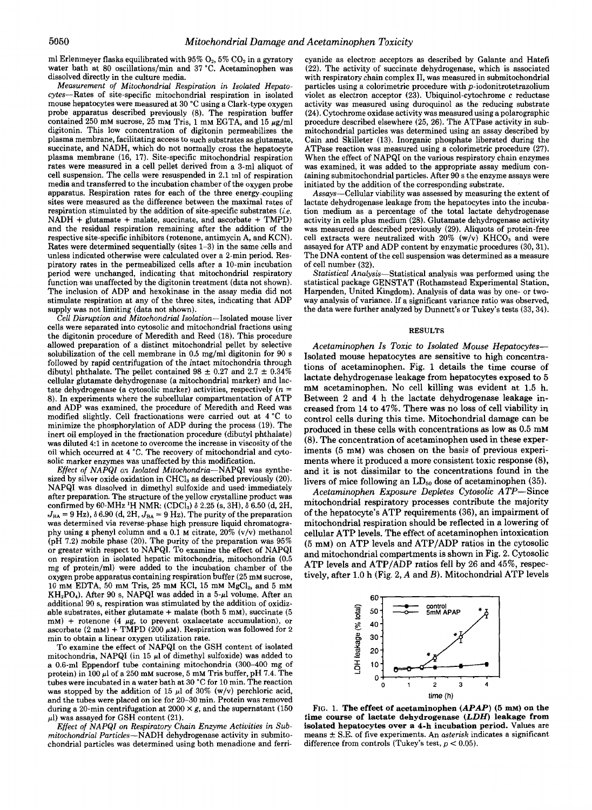ml Erlenmeyer flasks equilibrated with  $95\%$   $O_2$ ,  $5\%$   $CO_2$  in a gyratory water bath at 80 oscillations/min and 37 "C. Acetaminophen was dissolved directly in the culture media.

Measurement *of* Mitochondrial Respiration in Isolated Hepatocytes-Rates of site-specific mitochondrial respiration in isolated mouse hepatocytes were measured at 30 "C using a Clark-type oxygen probe apparatus described previously (8). The respiration buffer contained 250 mM sucrose, 25 mM Tris, 1 mM EGTA, and 15  $\mu$ g/ml digitonin. This low concentration of digitonin permeabilizes the plasma membrane, facilitating access to such substrates as glutamate, succinate, and NADH, which do not normally cross the hepatocyte plasma membrane (16, 17). Site-specific mitochondrial respiration rates were measured in a cell pellet derived from a 3-ml aliquot of cell suspension. The cells were resuspended in 2.1 ml of respiration media and transferred to the incubation chamber of the oxygen probe apparatus. Respiration rates for each of the three energy-coupling sites were measured as the difference between the maximal rates of respiration stimulated by the addition of site-specific substrates (i.e. NADH + glutamate + malate, succinate, and ascorbate + TMPD) and the residual respiration remaining after the addition of the respective site-specific inhibitors (rotenone, antimycin A, and KCN). Rates were determined sequentially (sites 1-3) in the same cells and unless indicated otherwise were calculated over a 2-min period. Respiratory rates in the permeabilized cells after a 10-min incubation period were unchanged, indicating that mitochondrial respiratory function was unaffected by the digitonin treatment (data not shown). The inclusion of ADP and hexokinase in the assay media did not stimulate respiration at any of the three sites, indicating that ADP supply was not limiting (data not shown).

*Cell* Disruption and Mitochondrial Isolation-Isolated mouse liver cells were separated into cytosolic and mitochondrial fractions using the digitonin procedure of Meredith and Reed (18). This procedure allowed preparation of a distinct mitochondrial pellet by selective solubilization of the cell membrane in 0.5 mg/ml digitonin for 90 s followed by rapid centrifugation of the intact mitochondria through dibutyl phthalate. The pellet contained  $98 \pm 0.27$  and  $2.7 \pm 0.34\%$ cellular glutamate dehydrogenase (a mitochondrial marker) and lactate dehydrogenase (a cytosolic marker) activities, respectively  $(n =$ 8). In experiments where the subcellular compartmentation of ATP and ADP was examined, the procedure of Meredith and Reed was modified slightly. Cell fractionations were carried out at 4 "C to minimize the phosphorylation of ADP during the process (19). The inert oil employed in the fractionation procedure (dibutyl phthalate) was diluted 4:l in acetone to overcome the increase in viscosity of the oil which occurred at 4 "C. The recovery of mitochondrial and cytosolic marker enzymes was unaffected by this modification.

Effect of NAPQI on Isolated Mitochondria-NAPQI was synthesized by silver oxide oxidation in  $CHCl<sub>3</sub>$  as described previously (20). NAPQI was dissolved in dimethyl sulfoxide and used immediately confirmed by 60-MHz <sup>1</sup>H NMR: (CDCl<sub>3</sub>)  $\delta$  2.25 (s, 3H),  $\delta$  6.50 (d, 2H, after preparation. The structure of the yellow crystalline product was  $J_{BA} = 9$  Hz),  $\delta$  6.90 (d, 2H,  $J_{BA} = 9$  Hz). The purity of the preparation was determined via reverse-phase high pressure liquid chromatography using a phenyl column and a 0.1 M citrate,  $20\%$  (v/v) methanol (pH 7.2) mobile phase (20). The purity of the preparation was 95% or greater with respect to NAPQI. To examine the effect of NAPQI on respiration in isolated hepatic mitochondria, mitochondria (0.5 mg of protein/ml) were added to the incubation chamber of the oxygen probe apparatus containing respiration buffer (25 mM sucrose,  $10$  mM EDTA,  $50$  mM Tris,  $25$  mM KCl,  $15$  mM MgCl<sub>2</sub>, and  $5$  mM  $KH<sub>2</sub>PO<sub>4</sub>$ ). After 90 s, NAPQI was added in a 5- $\mu$ l volume. After an additional 90 s, respiration was stimulated by the addition of oxidizable substrates, either glutamate + malate (both **5** mM), succinate (5 mM) + rotenone (4  $\mu$ g, to prevent oxalacetate accumulation), or ascorbate (2 mM) + TMPD (200  $\mu$ M). Respiration was followed for 2 min to obtain a linear oxygen utilization rate.

To examine the effect of NAPQI on the GSH content of isolated mitochondria, NAPQI (in 15  $\mu$ l of dimethyl sulfoxide) was added to a 0.6-ml Eppendorf tube containing mitochondria (300-400 mg of protein) in 100  $\mu$ l of a 250 mM sucrose, 5 mM Tris buffer, pH 7.4. The tubes were incubated in a water bath at 30 *"C* for 10 min. The reaction was stopped by the addition of 15  $\mu$ l of 30% (w/v) perchloric acid, and the tubes were placed on ice for 20-30 min. Protein was removed during a 20-min centrifugation at  $2000 \times g$ , and the supernatant (150)  $\mu$ l) was assayed for GSH content (21).

Effect *of* NAPQI on Respiratory Chain Enzyme Activities in Submitochondrial Particles-NADH dehydrogenase activity in submitochondrial particles was determined using both menadione and ferri-

cyanide as electron acceptors as described by Galante and Hatefi (22). The activity of succinate dehydrogenase, which is associated with respiratory chain complex II, was measured in submitochondrial particles using a colorimetric procedure with p-iodonitrotetrazolium violet as electron acceptor (23). Ubiquinol-cytochrome c reductase activity was measured using duroquinol as the reducing substrate (24). Cytochrome oxidase activity was measured using a polarographic procedure described elsewhere (25, 26). The ATPase activity in submitochondrial particles was determined using an assay described by Cain and Skilleter (13). Inorganic phosphate liberated during the ATPase reaction was measured using a colorimetric procedure (27). When the effect of NAPQI on the various respiratory chain enzymes was examined, it was added to the appropriate assay medium containing submitochondrial particles. After 90 s the enzyme assays were initiated by the addition of the corresponding substrate.

Assays-Cellular viability was assessed by measuring the extent of lactate dehydrogenase leakage from the hepatocytes into the incubation medium as a percentage of the total lactate dehydrogenase activity in cells plus medium (28). Glutamate dehydrogenase activity was measured as described previously (29). Aliquots of protein-free cell extracts were neutralized with  $20\%$  (w/v) KHCO<sub>3</sub> and were assayed for ATP and ADP content by enzymatic procedures (30,31). The DNA content of the cell suspension was determined as a measure of cell number (32).

Statistical Analysis-Statistical analysis was performed using the statistical package GENSTAT (Rothamstead Experimental Station, Harpenden, United Kingdom). Analysis of data was by one- or twoway analysis of variance. If a significant variance ratio was observed, the data were further analyzed by Dunnett's or Tukey's tests (33,34).

#### **RESULTS**

Acetaminophen *Is* Toxic to Isolated Mouse Hepatocytes-Isolated mouse hepatocytes are sensitive to high concentrations of acetaminophen. Fig. 1 details the time course of lactate dehydrogenase leakage from hepatocytes exposed to **5**  mM acetaminophen. No cell killing was evident at 1.5 h. Between **2** and 4 h the lactate dehydrogenase leakage increased from 14 to 47%. There was no loss **of** cell viability in control cells during this time. Mitochondrial damage can be produced in these cells with concentrations as low as 0.5 mM (8). The concentration of acetaminophen used in these experiments *(5* mM) was chosen on the basis of previous experiments where it produced a more consistent toxic response (8), and it is not dissimilar to the concentrations found in the livers of mice following an LD<sub>50</sub> dose of acetaminophen (35).

Acetaminophen Exposure Depletes Cytosolic ATP-Since mitochondrial respiratory processes contribute the majority of the hepatocyte's ATP requirements **(36),** an impairment of mitochondrial respiration should be reflected in a lowering of cellular ATP levels. The effect of acetaminophen intoxication **(5** mM) on ATP levels and ATP/ADP ratios in the cytosolic and mitochondrial compartments is shown in Fig. **2.** Cytosolic ATP levels and ATP/ADP ratios fell by *26* and **45%,** respectively, after 1.0 h (Fig. **2,** A and *B).* Mitochondrial ATP levels



**FIG.** 1. **The effect of acetaminophen** *(APAP) (5* **mM) on the time course of lactate dehydrogenase** *(LDH)* **leakage from isolated hepatocytes over a 4-h incubation period.** Values are means  $\pm$  S.E. of five experiments. An *asterisk* indicates a significant difference from controls (Tukey's test,  $p < 0.05$ ).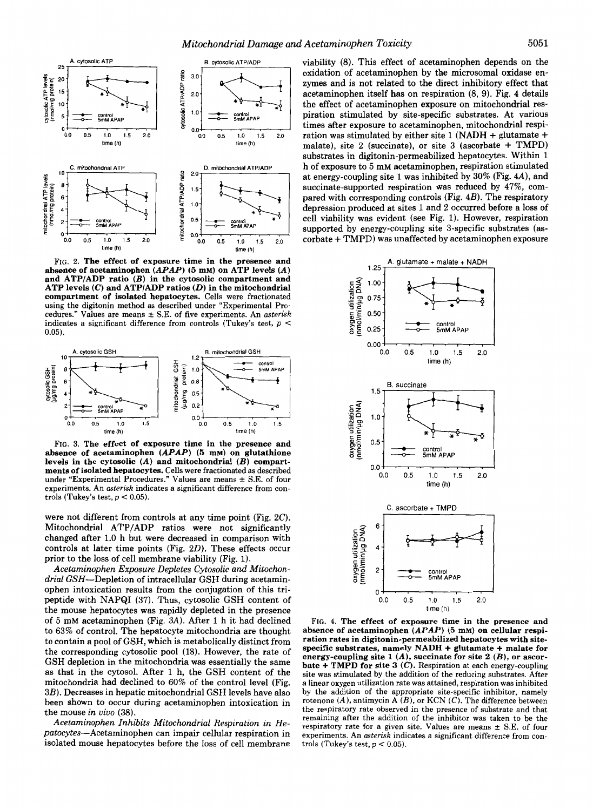

**FIG. 2. The effect of exposure time in the presence and absence of acetaminophen** *(APAP) (5* **mM) on ATP levels** *(A)*  **and ATP/ADP ratio** *(B)* **in the cytosolic compartment and ATP levels** *(C)* **and ATP/ADP ratios** *(D)* **in the mitochondrial compartment of isolated hepatocytes.** Cells were fractionated using the digitonin method as described under "Experimental Procedures.'' Values are means **rt** S.E. of five experiments. An *asterisk*  indicates a significant difference from controls (Tukey's test, *p* < **0.05).** 



**FIG. 3. The effect of exposure time in the presence and absence of acetaminophen** *(APAP) (5* **mM) on glutathione levels in the cytosolic** *(A)* **and mitochondrial** *(B)* **compartments of isolated hepatocytes.** Cells were fractionated as described under "Experimental Procedures." Values are means  $\pm$  S.E. of four experiments. An *asterisk* indicates a significant difference from controls (Tukey's test,  $p < 0.05$ ).

were not different from controls at any time point (Fig. **2C).**  Mitochondrial ATP/ADP ratios were not significantly changed after 1.0 h but were decreased in comparison with controls at later time points (Fig.  $2D$ ). These effects occur prior to the loss of cell membrane viability (Fig. 1).

Acetaminophen Exposure Depletes Cytosolic and Mitochondrial GSH-Depletion of intracellular GSH during acetaminophen intoxication results from the conjugation of this tripeptide with NAPQI (37). Thus, cytosolic GSH content of the mouse hepatocytes was rapidly depleted in the presence of **5** mM acetaminophen (Fig. 3A). After 1 h it had declined to 63% of control. The hepatocyte mitochondria are thought to contain a pool of GSH, which is metabolically distinct from the corresponding cytosolic pool (18). However, the rate of GSH depletion in the mitochondria was essentially the same **as** that in the cytosol. After 1 h, the GSH content of the mitochondria had declined to 60% of the control level (Fig. 3B). Decreases in hepatic mitochondrial GSH levels have also been shown to occur during acetaminophen intoxication in the mouse in vivo **(38).** 

Acetaminophen Inhibits Mitochondrial Respiration in Hepatocytes-Acetaminophen can impair cellular respiration in isolated mouse hepatocytes before the loss of cell membrane

<sup>2.0</sup><sub>1</sub> **at energy-coupling site 1 was inhibited by 30% (Fig. 4A), and** viability (8). This effect of acetaminophen depends on the oxidation of acetaminophen by the microsomal oxidase enzymes and is not related to the direct inhibitory effect that acetaminophen itself has on respiration (8, 9). Fig. **4** details the effect of acetaminophen exposure on mitochondrial respiration stimulated by site-specific substrates. At various times after exposure to acetaminophen, mitochondrial respiration was stimulated by either site 1 (NADH + glutamate + malate), site **2** (succinate), or site 3 (ascorbate + TMPD) substrates in digitonin-permeabilized hepatocytes. Within 1 h of exposure to **5** mM acetaminophen, respiration stimulated succinate-supported respiration was reduced by **47%,** compared with corresponding controls (Fig. *4B).* The respiratory depression produced at sites 1 and **2** occurred before a loss of cell viability was evident (see Fig. 1). However, respiration supported by energy-coupling site 3-specific substrates (ascorbate + TMPD) was unaffected by acetaminophen exposure



**FIG. 4. The effect of exposure time in the presence and absence of acetaminophen** *(APAP) (5* **mM) on cellular respiration rates in digitonin-permeabilized hepatocytes with sitespecific substrates, namely NADH** + **glutamate** + **malate for energy-coupling site 1** *(A),* **succinate for site 2** *(B),* **or ascorbate** + **TMPD for site 3** *(C).* Respiration at each energy-coupling site was stimulated by the addition of the reducing substrates. After a linear oxygen utilization rate was attained, respiration was inhibited by the addition of the appropriate site-specific inhibitor, namely rotenone  $(A)$ , antimycin  $\overrightarrow{A(B)}$ , or KCN  $(C)$ . The difference between the respiratory rate observed in the presence of substrate and that remaining after the addition of the inhibitor was taken to be the respiratory rate for a given site. Values are means  $\pm$  S.E. of four experiments. An *asterisk* indicates a significant difference from controls (Tukey's test,  $p < 0.05$ ).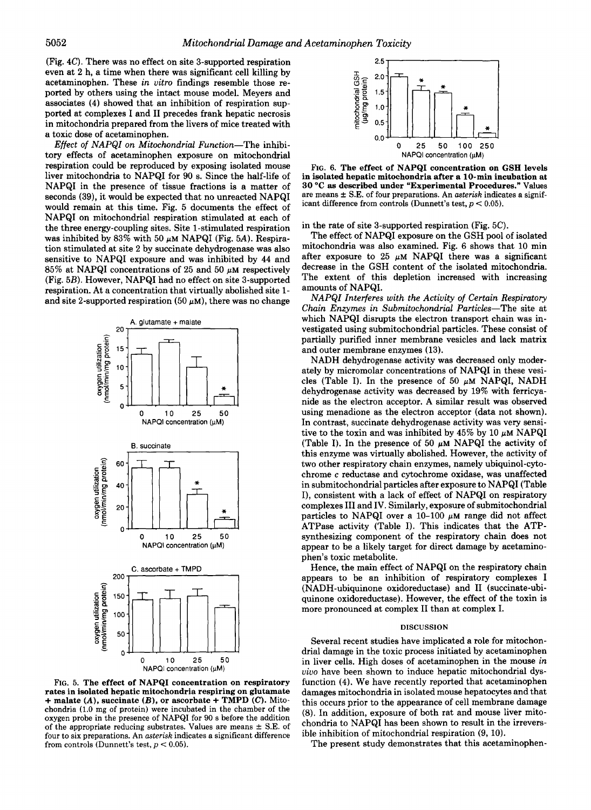(Fig. *4C).* There was no effect on site 3-supported respiration even at 2 h, a time when there was significant cell killing by acetaminophen. These *in vitro* findings resemble those reported by others using the intact mouse model. Meyers and associates **(4)** showed that an inhibition of respiration supported at complexes I and I1 precedes frank hepatic necrosis in mitochondria prepared from the livers of mice treated with a toxic dose of acetaminophen.

*Effect of NAPQI on Mitochondrial Function-The* inhibitory effects of acetaminophen exposure on mitochondrial respiration could be reproduced by exposing isolated mouse liver mitochondria to NAPQI for 90 s. Since the half-life of NAPQI in the presence of tissue fractions is a matter of seconds (39), it would be expected that no unreacted NAPQI would remain at this time. Fig. **5** documents the effect of NAPQI on mitochondrial respiration stimulated at each of the three energy-coupling sites. Site 1-stimulated respiration was inhibited by  $83\%$  with  $50 \mu M NAPQI$  (Fig. 5A). Respiration stimulated at site 2 by succinate dehydrogenase was also sensitive to NAPQI exposure and was inhibited by *44* and 85% at NAPQI concentrations of 25 and 50  $\mu$ M respectively (Fig. *5B).* However, NAPQI had no effect on site 3-supported respiration. At a concentration that virtually abolished site 1 and site 2-supported respiration (50  $\mu$ M), there was no change



FIG. 5. The effect of NAPQI concentration on respiratory rates in isolated hepatic mitochondria respiring on glutamate + malate  $(A)$ , succinate  $(B)$ , or ascorbate + TMPD  $(C)$ . Mitochondria (1.0 mg of protein) were incubated in the chamber of the oxygen probe in the presence of NAPQI for 90 *s* before the addition of the appropriate reducing substrates. Values are means  $\pm$  S.E. of four to six preparations. An *asterisk* indicates a significant difference from controls (Dunnett's test,  $p < 0.05$ ).



**FIG.** 6. The effect of NAPQI concentration on **GSH** levels in isolated hepatic mitochondria after a 10-min incubation at **30 "C** as described under "Experimental Procedures." Values are means **f** S.E. of four preparations. An **asterisk** indicates a significant difference from controls (Dunnett's test, *p* < 0.05).

## in the rate of site 3-supported respiration (Fig. *5C).*

The effect of NAPQI exposure on the GSH pool of isolated mitochondria was also examined. Fig. 6 shows that 10 min after exposure to 25  $\mu$ M NAPQI there was a significant decrease in the GSH content of the isolated mitochondria. The extent of this depletion increased with increasing amounts of NAPQI.

*NAPQI Interferes with the Activity of Certain Respiratory Chain Enzymes in Submitochondrial Particles-The* site at which NAPQI disrupts the electron transport chain was investigated using submitochondrial particles. These consist of partially purified inner membrane vesicles and lack matrix and outer membrane enzymes (13).

NADH dehydrogenase activity was decreased only moderately by micromolar concentrations of NAPQI in these vesicles (Table I). In the presence of 50  $\mu$ M NAPQI, NADH dehydrogenase activity was decreased by 19% with ferricyanide as the electron acceptor. A similar result was observed using menadione as the electron acceptor (data not shown). In contrast, succinate dehydrogenase activity was very sensitive to the toxin and was inhibited by  $45\%$  by 10  $\mu$ M NAPQI (Table I). In the presence of 50  $\mu$ M NAPQI the activity of this enzyme was virtually abolished. However, the activity of two other respiratory chain enzymes, namely ubiquinol-cytochrome *c* reductase and cytochrome oxidase, was unaffected in submitochondrial particles after exposure to NAPQI (Table I), consistent with a lack of effect of NAPQI on respiratory complexes I11 and IV. Similarly, exposure of submitochondrial particles to NAPQI over a  $10-100 \mu M$  range did not affect ATPase activity (Table I). This indicates that the ATPsynthesizing component of the respiratory chain does not appear to be a likely target for direct damage by acetaminophen's toxic metabolite.

Hence, the main effect of NAPQI on the respiratory chain appears to be an inhibition of respiratory complexes I (NADH-ubiquinone oxidoreductase) and I1 (succinate-ubiquinone oxidoreductase). However, the effect of the toxin is more pronounced at complex I1 than at complex **I.** 

#### **DISCUSSION**

Several recent studies have implicated a role for mitochondrial damage in the toxic process initiated by acetaminophen in liver cells. High doses of acetaminophen in the mouse *in vivo* have been shown to induce hepatic mitochondrial dysfunction *(4).* We have recently reported that acetaminophen damages mitochondria in isolated mouse hepatocytes and that this occurs prior to the appearance of cell membrane damage (8). In addition, exposure of both rat and mouse liver mitochondria to NAPQI has been shown to result in the irreversible inhibition of mitochondrial respiration (9, 10).

The present study demonstrates that this acetaminophen-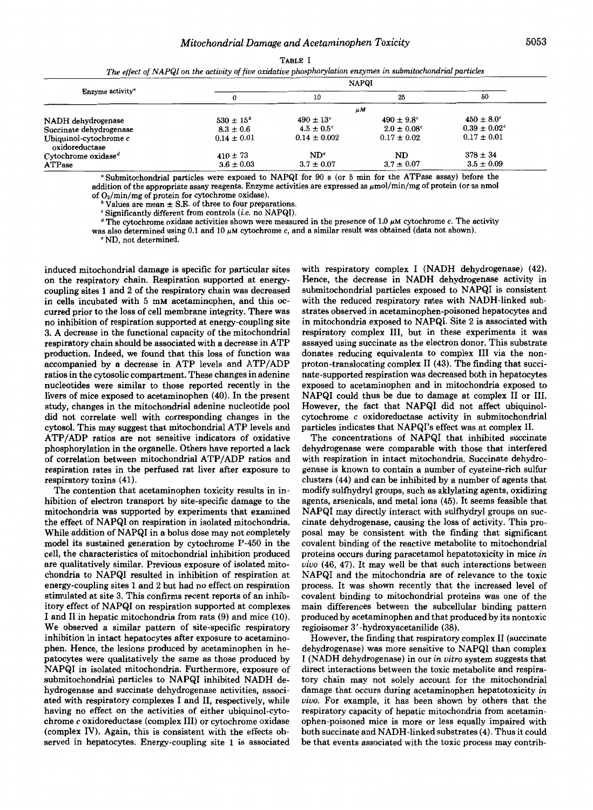**TABLE I** 

*The effect of NAPQI on the activity of five oxidative phosphorylation enzymes in submitochondrial particles* 

| Enzyme activity <sup>®</sup>                 | <b>NAPQI</b>     |                       |                             |                              |  |
|----------------------------------------------|------------------|-----------------------|-----------------------------|------------------------------|--|
|                                              | 0                | 10                    | 25                          | 50                           |  |
|                                              | μМ               |                       |                             |                              |  |
| NADH dehydrogenase                           | $530 \pm 15^{b}$ | $490 \pm 13^{\circ}$  | $490 \pm 9.8^{\circ}$       | $450 \pm 8.0^{\circ}$        |  |
| Succinate dehydrogenase                      | $8.3 \pm 0.6$    | $4.5 \pm 0.5^{\circ}$ | $2.0 \pm 0.08$ <sup>c</sup> | $0.39 \pm 0.02$ <sup>c</sup> |  |
| Ubiquinol-cytochrome c<br>oxidoreductase     | $0.14 \pm 0.01$  | $0.14 \pm 0.002$      | $0.17 \pm 0.02$             | $0.17 \pm 0.01$              |  |
| Cytochrome oxidase <sup><math>d</math></sup> | $410 \pm 73$     | $ND^e$                | ND                          | $378 \pm 34$                 |  |
| ATPase                                       | $3.6 \pm 0.03$   | $3.7 \pm 0.07$        | $3.7 \pm 0.07$              | $3.5 \pm 0.09$               |  |

*<sup>a</sup>***Submitochondrial particles were exposed to NAPQI for 90** *s* **(or 5 min for the ATPase assay) before the**  addition of the appropriate assay reagents. Enzyme activities are expressed as  $\mu$ mol/min/mg of protein (or as nmol of  $O_2/\text{min}/\text{mg}$  of protein for cytochrome oxidase).

**Values are mean**  $\pm$  **S.E. of three to four preparations.** 

**<sup>e</sup>Significantly different from controls** *(i.e.* **no NAPQI).** 

 $\sigma$  The cytochrome oxidase activities shown were measured in the presence of 1.0  $\mu$ M cytochrome *c*. The activity

**was also determined using 0.1 and 10** *pM* **cytochrome** *c,* **and a similar result was obtained (data not shown).** 

**<sup>e</sup>ND, not determined.** 

induced mitochondrial damage is specific for particular sites on the respiratory chain. Respiration supported at energycoupling sites **1** and **2** of the respiratory chain was decreased in cells incubated with 5 mM acetaminophen, and this occurred prior to the loss of cell membrane integrity. There was no inhibition of respiration supported at energy-coupling site **3.** A decrease in the functional capacity of the mitochondrial respiratory chain should be associated with a decrease in ATP production. Indeed, we found that this loss of function was accompanied by a decrease in ATP levels and ATP/ADP ratios in the cytosolic compartment. These changes in adenine nucleotides were similar to those reported recently in the livers of mice exposed to acetaminophen **(40).** In the present study, changes in the mitochondrial adenine nucleotide pool did not correlate well with corresponding changes in the cytosol. This may suggest that mitochondrial ATP levels and ATP/ADP ratios are not sensitive indicators of oxidative phosphorylation in the organelle. Others have reported a lack of correlation between mitochondrial ATP/ADP ratios and respiration rates in the perfused rat liver after exposure to respiratory toxins **(41).** 

The contention that acetaminophen toxicity results in inhibition of electron transport by site-specific damage to the mitochondria was supported by experiments that examined the effect of NAPQI on respiration in isolated mitochondria. While addition of NAPQI in a bolus dose may not completely model its sustained generation by cytochrome **P-450** in the cell, the characteristics of mitochondrial inhibition produced are qualitatively similar. Previous exposure of isolated mitochondria to NAPQI resulted in inhibition of respiration at energy-coupling sites **1** and **2** but had no effect on respiration stimulated at site **3.** This confirms recent reports of an inhibitory effect of NAPQI on respiration supported at complexes I and I1 in hepatic mitochondria from rats (9) and mice (10). We observed a similar pattern of site-specific respiratory inhibition in intact hepatocytes after exposure to acetaminophen. Hence, the lesions produced by acetaminophen in hepatocytes were qualitatively the same as those produced by NAPQI in isolated mitochondria. Furthermore, exposure of submitochondrial particles to NAPQI inhibited NADH dehydrogenase and succinate dehydrogenase activities, associated with respiratory complexes I and 11, respectively, while having no effect on the activities of either ubiquinol-cytochrome *c* oxidoreductase (complex 111) or cytochrome oxidase (complex IV). Again, this is consistent with the effects observed in hepatocytes. Energy-coupling site **1** is associated

with respiratory complex I (NADH dehydrogenase) **(42).**  Hence, the decrease in NADH dehydrogenase activity in submitochondrial particles exposed to NAPQI is consistent with the reduced respiratory rates with NADH-linked substrates observed in acetaminophen-poisoned hepatocytes and in mitochondria exposed to NAPQI. Site **2** is associated with respiratory complex 111, but in these experiments it was assayed using succinate as the electron donor. This substrate donates reducing equivalents to complex I11 via the nonproton-translocating complex I1 **(43).** The finding that succinate-supported respiration was decreased both in hepatocytes exposed to acetaminophen and in mitochondria exposed to NAPQI could thus be due to damage at complex I1 **or** 111. However, the fact that NAPQI did not affect ubiquinolcytochrome *c* oxidoreductase activity in submitochondrial particles indicates that NAPQI's effect was at complex 11.

The concentrations of NAPQI that inhibited succinate dehydrogenase were comparable with those that interfered with respiration in intact mitochondria. Succinate dehydrogenase is known to contain a number of cysteine-rich sulfur clusters **(44)** and can be inhibited by a number of agents that modify sulfhydryl groups, such as aklylating agents, oxidizing agents, arsenicals, and metal ions **(45).** It seems feasible that NAPQI may directly interact with sulfhydryl groups on succinate dehydrogenase, causing the loss of activity. This proposal may be consistent with the finding that significant covalent binding of the reactive metabolite to mitochondrial proteins occurs during paracetamol hepatotoxicity in mice *in*  vivo **(46, 47).** It may well be that such interactions between NAPQI and the mitochondria are of relevance to the toxic process. It was shown recently that the increased level of covalent binding to mitochondrial proteins was one of the main differences between the subcellular binding pattern produced by acetaminophen and that produced by its nontoxic regioisomer 3'-hydroxyacetanilide (38).

However, the finding that respiratory complex I1 (succinate dehydrogenase) was more sensitive to NAPQI than complex I (NADH dehydrogenase) in our *in vitro* system suggests that direct interactions between the toxic metabolite and respiratory chain may not solely account for the mitochondrial damage that occurs during acetaminophen hepatotoxicity *in vivo.* For example, it has been shown by others that the respiratory capacity of hepatic mitochondria from acetaminophen-poisoned mice is more or less equally impaired with both succinate and NADH-linked substrates **(4).** Thus it could be that events associated with the toxic process may contrib